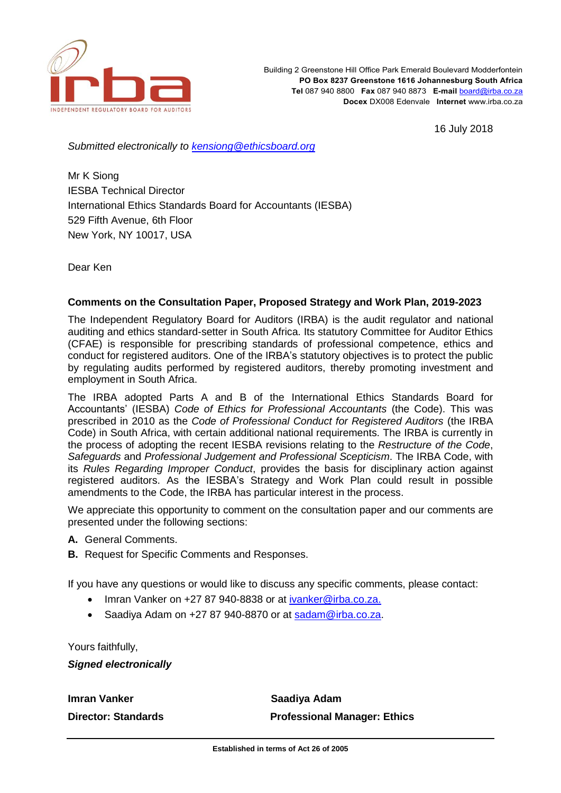

Building 2 Greenstone Hill Office Park Emerald Boulevard Modderfontein **PO Box 8237 Greenstone 1616 Johannesburg South Africa Tel** 087 940 8800 **Fax** 087 940 8873 **E-mail** [board@irba.co.za](mailto:board@irba.co.za) **Docex** DX008 Edenvale **Internet** www.irba.co.za

16 July 2018

*Submitted electronically to [kensiong@ethicsboard.org](mailto:kensiong@ethicsboard.org)*

Mr K Siong IESBA Technical Director International Ethics Standards Board for Accountants (IESBA) 529 Fifth Avenue, 6th Floor New York, NY 10017, USA

Dear Ken

# **Comments on the Consultation Paper, Proposed Strategy and Work Plan, 2019-2023**

The Independent Regulatory Board for Auditors (IRBA) is the audit regulator and national auditing and ethics standard-setter in South Africa. Its statutory Committee for Auditor Ethics (CFAE) is responsible for prescribing standards of professional competence, ethics and conduct for registered auditors. One of the IRBA's statutory objectives is to protect the public by regulating audits performed by registered auditors, thereby promoting investment and employment in South Africa.

The IRBA adopted Parts A and B of the International Ethics Standards Board for Accountants' (IESBA) *Code of Ethics for Professional Accountants* (the Code). This was prescribed in 2010 as the *Code of Professional Conduct for Registered Auditors* (the IRBA Code) in South Africa, with certain additional national requirements. The IRBA is currently in the process of adopting the recent IESBA revisions relating to the *Restructure of the Code*, *Safeguards* and *Professional Judgement and Professional Scepticism*. The IRBA Code, with its *Rules Regarding Improper Conduct*, provides the basis for disciplinary action against registered auditors. As the IESBA's Strategy and Work Plan could result in possible amendments to the Code, the IRBA has particular interest in the process.

We appreciate this opportunity to comment on the consultation paper and our comments are presented under the following sections:

- **A.** General Comments.
- **B.** Request for Specific Comments and Responses.

If you have any questions or would like to discuss any specific comments, please contact:

- Imran Vanker on +27 87 940-8838 or at [ivanker@irba.co.za.](mailto:ivanker@irba.co.za)
- Saadiya Adam on +27 87 940-8870 or at [sadam@irba.co.za.](mailto:sadam@irba.co.za)

Yours faithfully,

*Signed electronically*

**Imran Vanker Construction Construction Canadiya Adam Director: Standards Professional Manager: Ethics**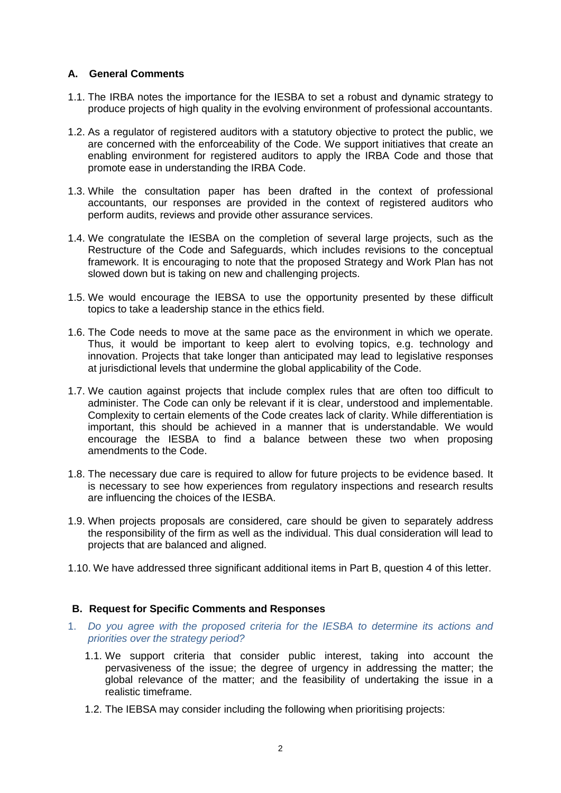# **A. General Comments**

- 1.1. The IRBA notes the importance for the IESBA to set a robust and dynamic strategy to produce projects of high quality in the evolving environment of professional accountants.
- 1.2. As a regulator of registered auditors with a statutory objective to protect the public, we are concerned with the enforceability of the Code. We support initiatives that create an enabling environment for registered auditors to apply the IRBA Code and those that promote ease in understanding the IRBA Code.
- 1.3. While the consultation paper has been drafted in the context of professional accountants, our responses are provided in the context of registered auditors who perform audits, reviews and provide other assurance services.
- 1.4. We congratulate the IESBA on the completion of several large projects, such as the Restructure of the Code and Safeguards, which includes revisions to the conceptual framework. It is encouraging to note that the proposed Strategy and Work Plan has not slowed down but is taking on new and challenging projects.
- 1.5. We would encourage the IEBSA to use the opportunity presented by these difficult topics to take a leadership stance in the ethics field.
- 1.6. The Code needs to move at the same pace as the environment in which we operate. Thus, it would be important to keep alert to evolving topics, e.g. technology and innovation. Projects that take longer than anticipated may lead to legislative responses at jurisdictional levels that undermine the global applicability of the Code.
- 1.7. We caution against projects that include complex rules that are often too difficult to administer. The Code can only be relevant if it is clear, understood and implementable. Complexity to certain elements of the Code creates lack of clarity. While differentiation is important, this should be achieved in a manner that is understandable. We would encourage the IESBA to find a balance between these two when proposing amendments to the Code.
- 1.8. The necessary due care is required to allow for future projects to be evidence based. It is necessary to see how experiences from regulatory inspections and research results are influencing the choices of the IESBA.
- 1.9. When projects proposals are considered, care should be given to separately address the responsibility of the firm as well as the individual. This dual consideration will lead to projects that are balanced and aligned.
- 1.10. We have addressed three significant additional items in Part B, question 4 of this letter.

# **B. Request for Specific Comments and Responses**

- 1. *Do you agree with the proposed criteria for the IESBA to determine its actions and priorities over the strategy period?*
	- 1.1. We support criteria that consider public interest, taking into account the pervasiveness of the issue; the degree of urgency in addressing the matter; the global relevance of the matter; and the feasibility of undertaking the issue in a realistic timeframe.
	- 1.2. The IEBSA may consider including the following when prioritising projects: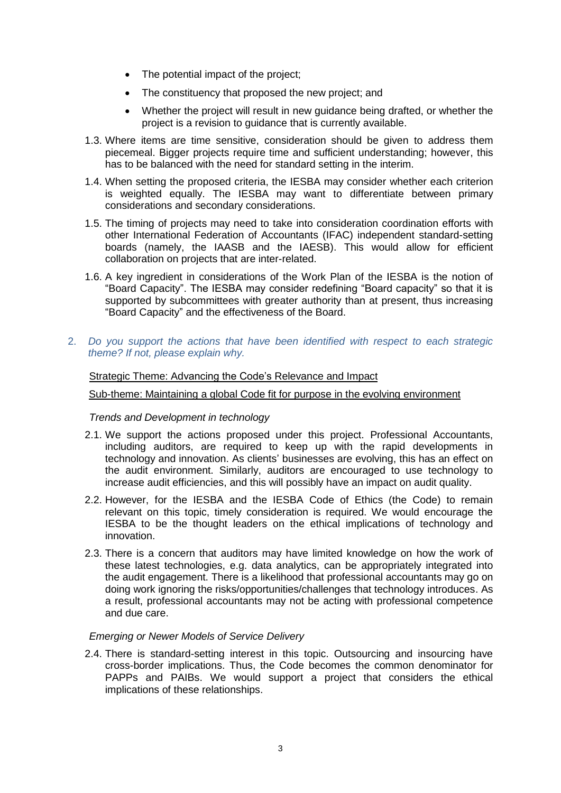- The potential impact of the project;
- The constituency that proposed the new project; and
- Whether the project will result in new guidance being drafted, or whether the project is a revision to guidance that is currently available.
- 1.3. Where items are time sensitive, consideration should be given to address them piecemeal. Bigger projects require time and sufficient understanding; however, this has to be balanced with the need for standard setting in the interim.
- 1.4. When setting the proposed criteria, the IESBA may consider whether each criterion is weighted equally. The IESBA may want to differentiate between primary considerations and secondary considerations.
- 1.5. The timing of projects may need to take into consideration coordination efforts with other International Federation of Accountants (IFAC) independent standard-setting boards (namely, the IAASB and the IAESB). This would allow for efficient collaboration on projects that are inter-related.
- 1.6. A key ingredient in considerations of the Work Plan of the IESBA is the notion of "Board Capacity". The IESBA may consider redefining "Board capacity" so that it is supported by subcommittees with greater authority than at present, thus increasing "Board Capacity" and the effectiveness of the Board.
- 2. *Do you support the actions that have been identified with respect to each strategic theme? If not, please explain why.*

# Strategic Theme: Advancing the Code's Relevance and Impact

## Sub-theme: Maintaining a global Code fit for purpose in the evolving environment

*Trends and Development in technology*

- 2.1. We support the actions proposed under this project. Professional Accountants, including auditors, are required to keep up with the rapid developments in technology and innovation. As clients' businesses are evolving, this has an effect on the audit environment. Similarly, auditors are encouraged to use technology to increase audit efficiencies, and this will possibly have an impact on audit quality.
- 2.2. However, for the IESBA and the IESBA Code of Ethics (the Code) to remain relevant on this topic, timely consideration is required. We would encourage the IESBA to be the thought leaders on the ethical implications of technology and innovation.
- 2.3. There is a concern that auditors may have limited knowledge on how the work of these latest technologies, e.g. data analytics, can be appropriately integrated into the audit engagement. There is a likelihood that professional accountants may go on doing work ignoring the risks/opportunities/challenges that technology introduces. As a result, professional accountants may not be acting with professional competence and due care.

### *Emerging or Newer Models of Service Delivery*

2.4. There is standard-setting interest in this topic. Outsourcing and insourcing have cross-border implications. Thus, the Code becomes the common denominator for PAPPs and PAIBs. We would support a project that considers the ethical implications of these relationships.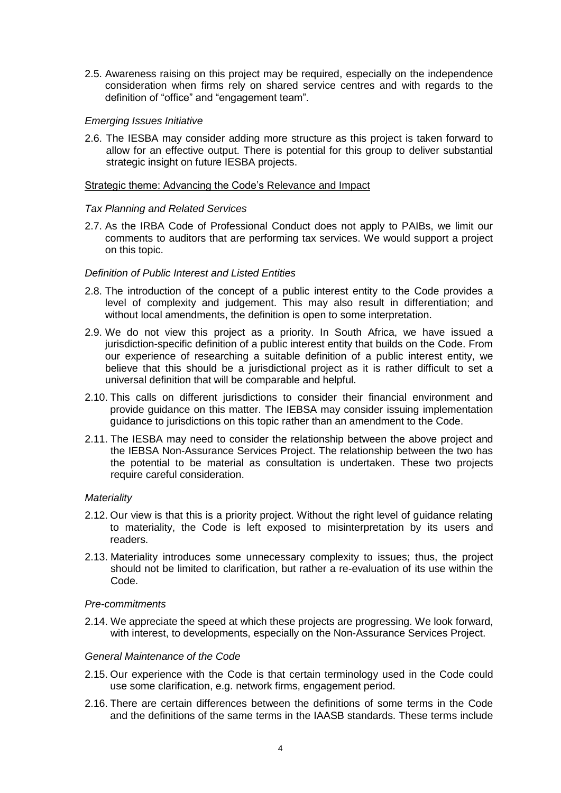2.5. Awareness raising on this project may be required, especially on the independence consideration when firms rely on shared service centres and with regards to the definition of "office" and "engagement team".

## *Emerging Issues Initiative*

2.6. The IESBA may consider adding more structure as this project is taken forward to allow for an effective output. There is potential for this group to deliver substantial strategic insight on future IESBA projects.

### Strategic theme: Advancing the Code's Relevance and Impact

## *Tax Planning and Related Services*

2.7. As the IRBA Code of Professional Conduct does not apply to PAIBs, we limit our comments to auditors that are performing tax services. We would support a project on this topic.

## *Definition of Public Interest and Listed Entities*

- 2.8. The introduction of the concept of a public interest entity to the Code provides a level of complexity and judgement. This may also result in differentiation; and without local amendments, the definition is open to some interpretation.
- 2.9. We do not view this project as a priority. In South Africa, we have issued a jurisdiction-specific definition of a public interest entity that builds on the Code. From our experience of researching a suitable definition of a public interest entity, we believe that this should be a jurisdictional project as it is rather difficult to set a universal definition that will be comparable and helpful.
- 2.10. This calls on different jurisdictions to consider their financial environment and provide guidance on this matter. The IEBSA may consider issuing implementation guidance to jurisdictions on this topic rather than an amendment to the Code.
- 2.11. The IESBA may need to consider the relationship between the above project and the IEBSA Non-Assurance Services Project. The relationship between the two has the potential to be material as consultation is undertaken. These two projects require careful consideration.

### *Materiality*

- 2.12. Our view is that this is a priority project. Without the right level of guidance relating to materiality, the Code is left exposed to misinterpretation by its users and readers.
- 2.13. Materiality introduces some unnecessary complexity to issues; thus, the project should not be limited to clarification, but rather a re-evaluation of its use within the Code.

### *Pre-commitments*

2.14. We appreciate the speed at which these projects are progressing. We look forward, with interest, to developments, especially on the Non-Assurance Services Project.

### *General Maintenance of the Code*

- 2.15. Our experience with the Code is that certain terminology used in the Code could use some clarification, e.g. network firms, engagement period.
- 2.16. There are certain differences between the definitions of some terms in the Code and the definitions of the same terms in the IAASB standards. These terms include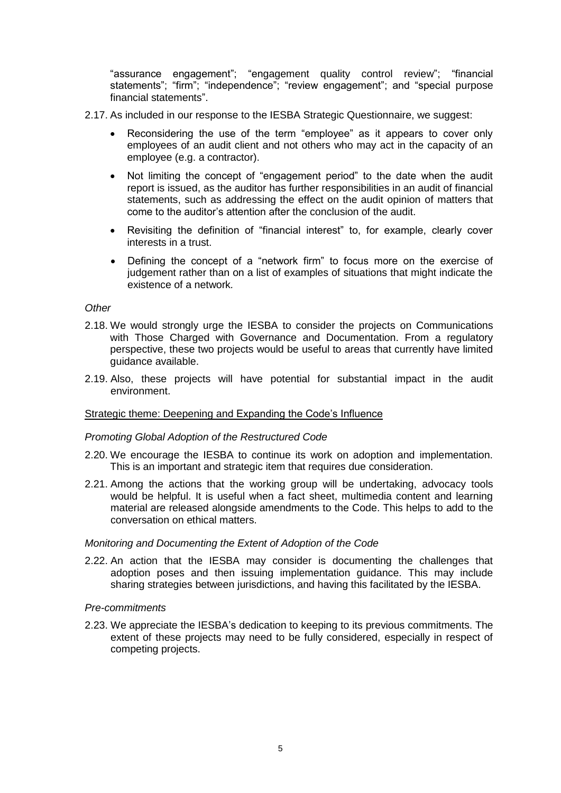"assurance engagement"; "engagement quality control review"; "financial statements"; "firm"; "independence"; "review engagement"; and "special purpose financial statements".

- 2.17. As included in our response to the IESBA Strategic Questionnaire, we suggest:
	- Reconsidering the use of the term "employee" as it appears to cover only employees of an audit client and not others who may act in the capacity of an employee (e.g. a contractor).
	- Not limiting the concept of "engagement period" to the date when the audit report is issued, as the auditor has further responsibilities in an audit of financial statements, such as addressing the effect on the audit opinion of matters that come to the auditor's attention after the conclusion of the audit.
	- Revisiting the definition of "financial interest" to, for example, clearly cover interests in a trust.
	- Defining the concept of a "network firm" to focus more on the exercise of judgement rather than on a list of examples of situations that might indicate the existence of a network*.*

# *Other*

- 2.18. We would strongly urge the IESBA to consider the projects on Communications with Those Charged with Governance and Documentation. From a regulatory perspective, these two projects would be useful to areas that currently have limited guidance available.
- 2.19. Also, these projects will have potential for substantial impact in the audit environment.

### Strategic theme: Deepening and Expanding the Code's Influence

### *Promoting Global Adoption of the Restructured Code*

- 2.20. We encourage the IESBA to continue its work on adoption and implementation. This is an important and strategic item that requires due consideration.
- 2.21. Among the actions that the working group will be undertaking, advocacy tools would be helpful. It is useful when a fact sheet, multimedia content and learning material are released alongside amendments to the Code. This helps to add to the conversation on ethical matters.

### *Monitoring and Documenting the Extent of Adoption of the Code*

2.22. An action that the IESBA may consider is documenting the challenges that adoption poses and then issuing implementation guidance. This may include sharing strategies between jurisdictions, and having this facilitated by the IESBA.

### *Pre-commitments*

2.23. We appreciate the IESBA's dedication to keeping to its previous commitments. The extent of these projects may need to be fully considered, especially in respect of competing projects.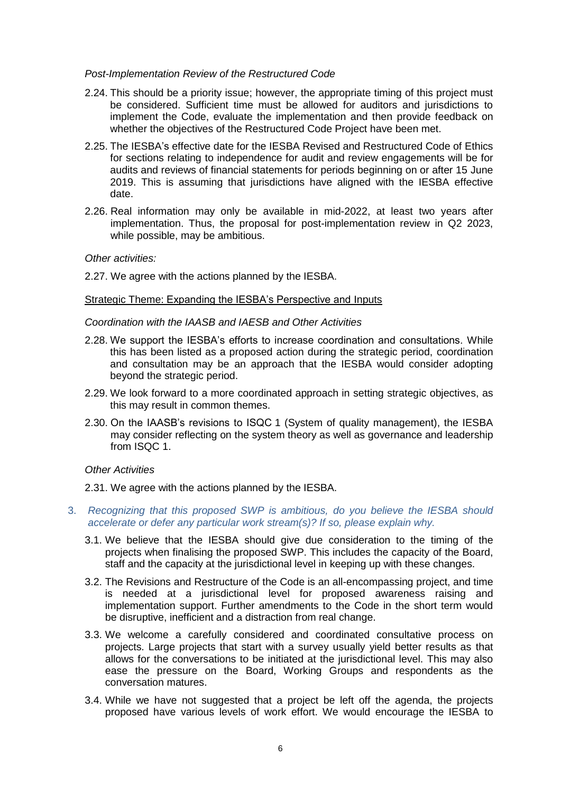#### *Post-Implementation Review of the Restructured Code*

- 2.24. This should be a priority issue; however, the appropriate timing of this project must be considered. Sufficient time must be allowed for auditors and jurisdictions to implement the Code, evaluate the implementation and then provide feedback on whether the objectives of the Restructured Code Project have been met.
- 2.25. The IESBA's effective date for the IESBA Revised and Restructured Code of Ethics for sections relating to independence for audit and review engagements will be for audits and reviews of financial statements for periods beginning on or after 15 June 2019. This is assuming that jurisdictions have aligned with the IESBA effective date.
- 2.26. Real information may only be available in mid-2022, at least two years after implementation. Thus, the proposal for post-implementation review in Q2 2023, while possible, may be ambitious.

### *Other activities:*

2.27. We agree with the actions planned by the IESBA.

#### Strategic Theme: Expanding the IESBA's Perspective and Inputs

#### *Coordination with the IAASB and IAESB and Other Activities*

- 2.28. We support the IESBA's efforts to increase coordination and consultations. While this has been listed as a proposed action during the strategic period, coordination and consultation may be an approach that the IESBA would consider adopting beyond the strategic period.
- 2.29. We look forward to a more coordinated approach in setting strategic objectives, as this may result in common themes.
- 2.30. On the IAASB's revisions to ISQC 1 (System of quality management), the IESBA may consider reflecting on the system theory as well as governance and leadership from ISQC 1.

### *Other Activities*

2.31. We agree with the actions planned by the IESBA.

- 3. *Recognizing that this proposed SWP is ambitious, do you believe the IESBA should accelerate or defer any particular work stream(s)? If so, please explain why.*
	- 3.1. We believe that the IESBA should give due consideration to the timing of the projects when finalising the proposed SWP. This includes the capacity of the Board, staff and the capacity at the jurisdictional level in keeping up with these changes.
	- 3.2. The Revisions and Restructure of the Code is an all-encompassing project, and time is needed at a jurisdictional level for proposed awareness raising and implementation support. Further amendments to the Code in the short term would be disruptive, inefficient and a distraction from real change.
	- 3.3. We welcome a carefully considered and coordinated consultative process on projects. Large projects that start with a survey usually yield better results as that allows for the conversations to be initiated at the jurisdictional level. This may also ease the pressure on the Board, Working Groups and respondents as the conversation matures.
	- 3.4. While we have not suggested that a project be left off the agenda, the projects proposed have various levels of work effort. We would encourage the IESBA to